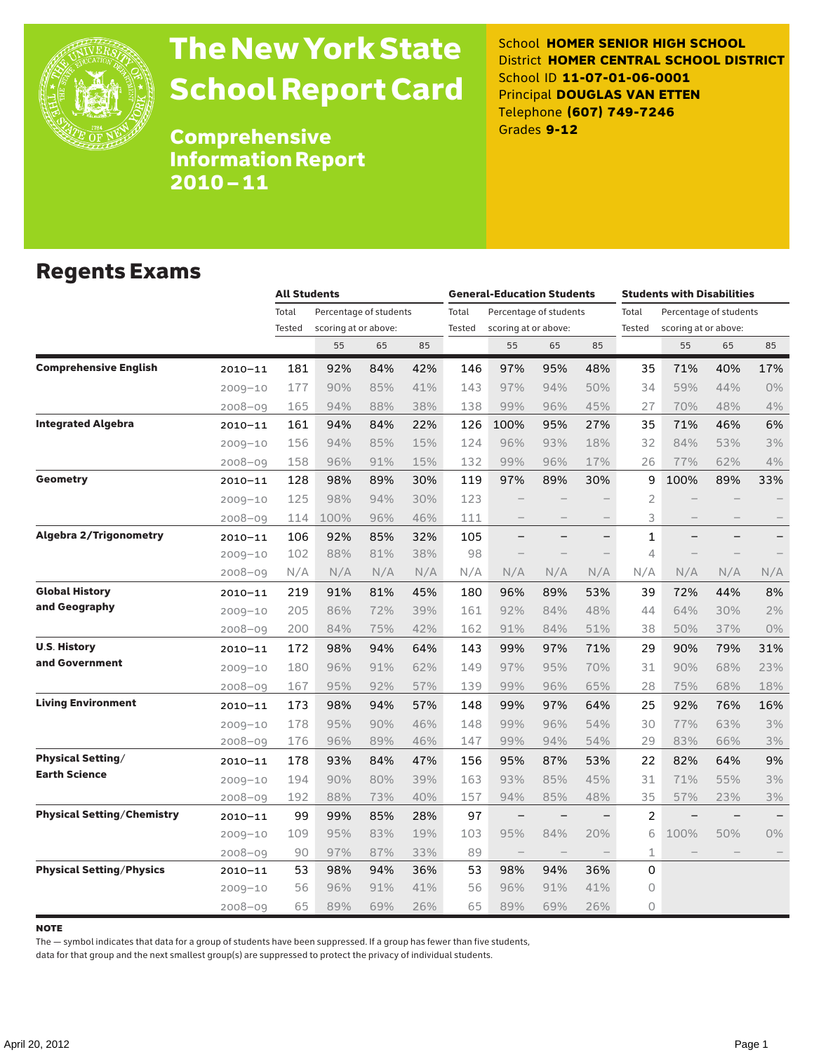

# The New York State School Report Card

School **HOMER SENIOR HIGH SCHOOL** District **HOMER CENTRAL SCHOOL DISTRICT** School ID **11-07-01-06-0001** Principal **DOUGLAS VAN ETTEN** Telephone **(607) 749-7246** Grades **9-12**

Comprehensive Information Report 2010–11

### Regents Exams

|                                   |             | <b>All Students</b> |                                                |     |     | <b>General-Education Students</b> |                      |                          |                          | <b>Students with Disabilities</b> |                                                |     |                   |
|-----------------------------------|-------------|---------------------|------------------------------------------------|-----|-----|-----------------------------------|----------------------|--------------------------|--------------------------|-----------------------------------|------------------------------------------------|-----|-------------------|
|                                   |             | Total<br>Tested     | Percentage of students<br>scoring at or above: |     |     | Total<br>Tested                   | scoring at or above: | Percentage of students   |                          | Total<br>Tested                   | Percentage of students<br>scoring at or above: |     |                   |
|                                   |             |                     | 55                                             | 65  | 85  |                                   | 55                   | 65                       | 85                       |                                   | 55                                             | 65  | 85                |
| <b>Comprehensive English</b>      | 2010-11     | 181                 | 92%                                            | 84% | 42% | 146                               | 97%                  | 95%                      | 48%                      | 35                                | 71%                                            | 40% | 17%               |
|                                   | $2009 - 10$ | 177                 | 90%                                            | 85% | 41% | 143                               | 97%                  | 94%                      | 50%                      | 34                                | 59%                                            | 44% | 0%                |
|                                   | 2008-09     | 165                 | 94%                                            | 88% | 38% | 138                               | 99%                  | 96%                      | 45%                      | 27                                | 70%                                            | 48% | 4%                |
| <b>Integrated Algebra</b>         | 2010-11     | 161                 | 94%                                            | 84% | 22% | 126                               | 100%                 | 95%                      | 27%                      | 35                                | 71%                                            | 46% | 6%                |
|                                   | $2009 - 10$ | 156                 | 94%                                            | 85% | 15% | 124                               | 96%                  | 93%                      | 18%                      | 32                                | 84%                                            | 53% | 3%                |
|                                   | $2008 - 09$ | 158                 | 96%                                            | 91% | 15% | 132                               | 99%                  | 96%                      | 17%                      | 26                                | 77%                                            | 62% | 4%                |
| <b>Geometry</b>                   | 2010-11     | 128                 | 98%                                            | 89% | 30% | 119                               | 97%                  | 89%                      | 30%                      | 9                                 | 100%                                           | 89% | 33%               |
|                                   | $2009 - 10$ | 125                 | 98%                                            | 94% | 30% | 123                               |                      |                          |                          | 2                                 |                                                |     |                   |
|                                   | $2008 - 09$ | 114                 | 100%                                           | 96% | 46% | 111                               | $\qquad \qquad -$    |                          |                          | 3                                 |                                                |     | $\qquad \qquad -$ |
| <b>Algebra 2/Trigonometry</b>     | 2010-11     | 106                 | 92%                                            | 85% | 32% | 105                               | —                    | $\overline{\phantom{0}}$ | $\overline{\phantom{0}}$ | 1                                 |                                                |     | -                 |
|                                   | 2009-10     | 102                 | 88%                                            | 81% | 38% | 98                                |                      |                          |                          | 4                                 | $\overline{\phantom{0}}$                       |     |                   |
|                                   | 2008-09     | N/A                 | N/A                                            | N/A | N/A | N/A                               | N/A                  | N/A                      | N/A                      | N/A                               | N/A                                            | N/A | N/A               |
| <b>Global History</b>             | $2010 - 11$ | 219                 | 91%                                            | 81% | 45% | 180                               | 96%                  | 89%                      | 53%                      | 39                                | 72%                                            | 44% | 8%                |
| and Geography                     | $2009 - 10$ | 205                 | 86%                                            | 72% | 39% | 161                               | 92%                  | 84%                      | 48%                      | 44                                | 64%                                            | 30% | 2%                |
|                                   | $2008 - 09$ | 200                 | 84%                                            | 75% | 42% | 162                               | 91%                  | 84%                      | 51%                      | 38                                | 50%                                            | 37% | 0%                |
| <b>U.S. History</b>               | 2010-11     | 172                 | 98%                                            | 94% | 64% | 143                               | 99%                  | 97%                      | 71%                      | 29                                | 90%                                            | 79% | 31%               |
| and Government                    | $2009 - 10$ | 180                 | 96%                                            | 91% | 62% | 149                               | 97%                  | 95%                      | 70%                      | 31                                | 90%                                            | 68% | 23%               |
|                                   | $2008 - 09$ | 167                 | 95%                                            | 92% | 57% | 139                               | 99%                  | 96%                      | 65%                      | 28                                | 75%                                            | 68% | 18%               |
| <b>Living Environment</b>         | $2010 - 11$ | 173                 | 98%                                            | 94% | 57% | 148                               | 99%                  | 97%                      | 64%                      | 25                                | 92%                                            | 76% | 16%               |
|                                   | $2009 - 10$ | 178                 | 95%                                            | 90% | 46% | 148                               | 99%                  | 96%                      | 54%                      | 30                                | 77%                                            | 63% | 3%                |
|                                   | 2008-09     | 176                 | 96%                                            | 89% | 46% | 147                               | 99%                  | 94%                      | 54%                      | 29                                | 83%                                            | 66% | 3%                |
| <b>Physical Setting/</b>          | $2010 - 11$ | 178                 | 93%                                            | 84% | 47% | 156                               | 95%                  | 87%                      | 53%                      | 22                                | 82%                                            | 64% | 9%                |
| <b>Earth Science</b>              | $2009 - 10$ | 194                 | 90%                                            | 80% | 39% | 163                               | 93%                  | 85%                      | 45%                      | 31                                | 71%                                            | 55% | 3%                |
|                                   | $2008 - 09$ | 192                 | 88%                                            | 73% | 40% | 157                               | 94%                  | 85%                      | 48%                      | 35                                | 57%                                            | 23% | 3%                |
| <b>Physical Setting/Chemistry</b> | 2010-11     | 99                  | 99%                                            | 85% | 28% | 97                                | $\qquad \qquad -$    | $\qquad \qquad -$        |                          | $\overline{c}$                    |                                                |     |                   |
|                                   | $2009 - 10$ | 109                 | 95%                                            | 83% | 19% | 103                               | 95%                  | 84%                      | 20%                      | 6                                 | 100%                                           | 50% | 0%                |
|                                   | 2008-09     | 90                  | 97%                                            | 87% | 33% | 89                                | $\qquad \qquad -$    | $\overline{\phantom{0}}$ |                          | 1                                 |                                                |     |                   |
| <b>Physical Setting/Physics</b>   | $2010 - 11$ | 53                  | 98%                                            | 94% | 36% | 53                                | 98%                  | 94%                      | 36%                      | 0                                 |                                                |     |                   |
|                                   | $2009 - 10$ | 56                  | 96%                                            | 91% | 41% | 56                                | 96%                  | 91%                      | 41%                      | $\circ$                           |                                                |     |                   |
|                                   | $2008 - 09$ | 65                  | 89%                                            | 69% | 26% | 65                                | 89%                  | 69%                      | 26%                      | 0                                 |                                                |     |                   |

#### **NOTE**

The — symbol indicates that data for a group of students have been suppressed. If a group has fewer than five students,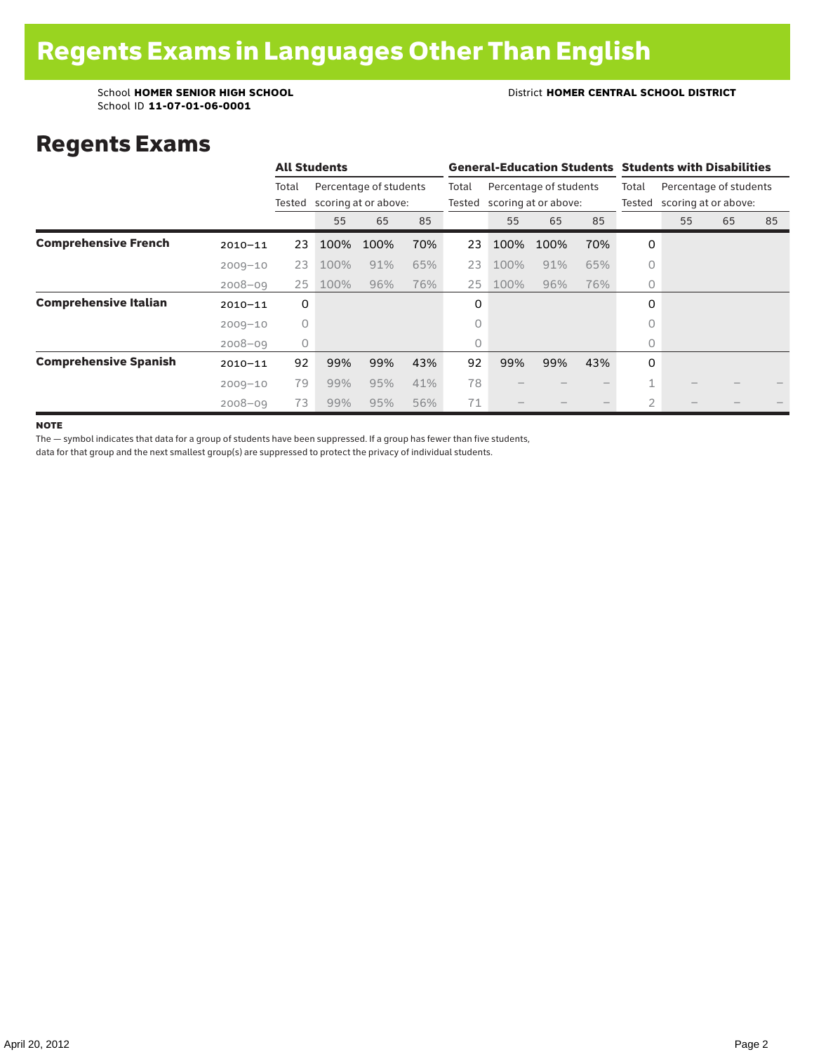School ID **11-07-01-06-0001**

#### School **HOMER SENIOR HIGH SCHOOL** District **HOMER CENTRAL SCHOOL DISTRICT**

### Regents Exams

|                              |             |         | <b>All Students</b>                                   |      |                 |                                                | <b>General-Education Students Students with Disabilities</b> |                 |                                                |                |    |    |    |  |
|------------------------------|-------------|---------|-------------------------------------------------------|------|-----------------|------------------------------------------------|--------------------------------------------------------------|-----------------|------------------------------------------------|----------------|----|----|----|--|
|                              |             | Total   | Percentage of students<br>Tested scoring at or above: |      | Total<br>Tested | Percentage of students<br>scoring at or above: |                                                              | Total<br>Tested | Percentage of students<br>scoring at or above: |                |    |    |    |  |
|                              |             |         | 55                                                    | 65   | 85              |                                                | 55                                                           | 65              | 85                                             |                | 55 | 65 | 85 |  |
| <b>Comprehensive French</b>  | $2010 - 11$ | 23      | 100%                                                  | 100% | 70%             | 23                                             | 100%                                                         | 100%            | 70%                                            | 0              |    |    |    |  |
|                              | $2009 - 10$ | 23      | 100%                                                  | 91%  | 65%             | 23                                             | 100%                                                         | 91%             | 65%                                            | $\circ$        |    |    |    |  |
|                              | $2008 - 09$ | 25      | 100%                                                  | 96%  | 76%             | 25                                             | 100%                                                         | 96%             | 76%                                            | $\circ$        |    |    |    |  |
| <b>Comprehensive Italian</b> | $2010 - 11$ | 0       |                                                       |      |                 | 0                                              |                                                              |                 |                                                | 0              |    |    |    |  |
|                              | $2009 - 10$ | $\circ$ |                                                       |      |                 | 0                                              |                                                              |                 |                                                | $\Omega$       |    |    |    |  |
|                              | $2008 - 09$ | 0       |                                                       |      |                 | 0                                              |                                                              |                 |                                                | 0              |    |    |    |  |
| <b>Comprehensive Spanish</b> | $2010 - 11$ | 92      | 99%                                                   | 99%  | 43%             | 92                                             | 99%                                                          | 99%             | 43%                                            | 0              |    |    |    |  |
|                              | $2009 - 10$ | 79      | 99%                                                   | 95%  | 41%             | 78                                             |                                                              |                 |                                                | 1              |    |    |    |  |
|                              | $2008 - 09$ | 73      | 99%                                                   | 95%  | 56%             | 71                                             |                                                              |                 |                                                | $\overline{2}$ |    |    |    |  |

**NOTE** 

The — symbol indicates that data for a group of students have been suppressed. If a group has fewer than five students,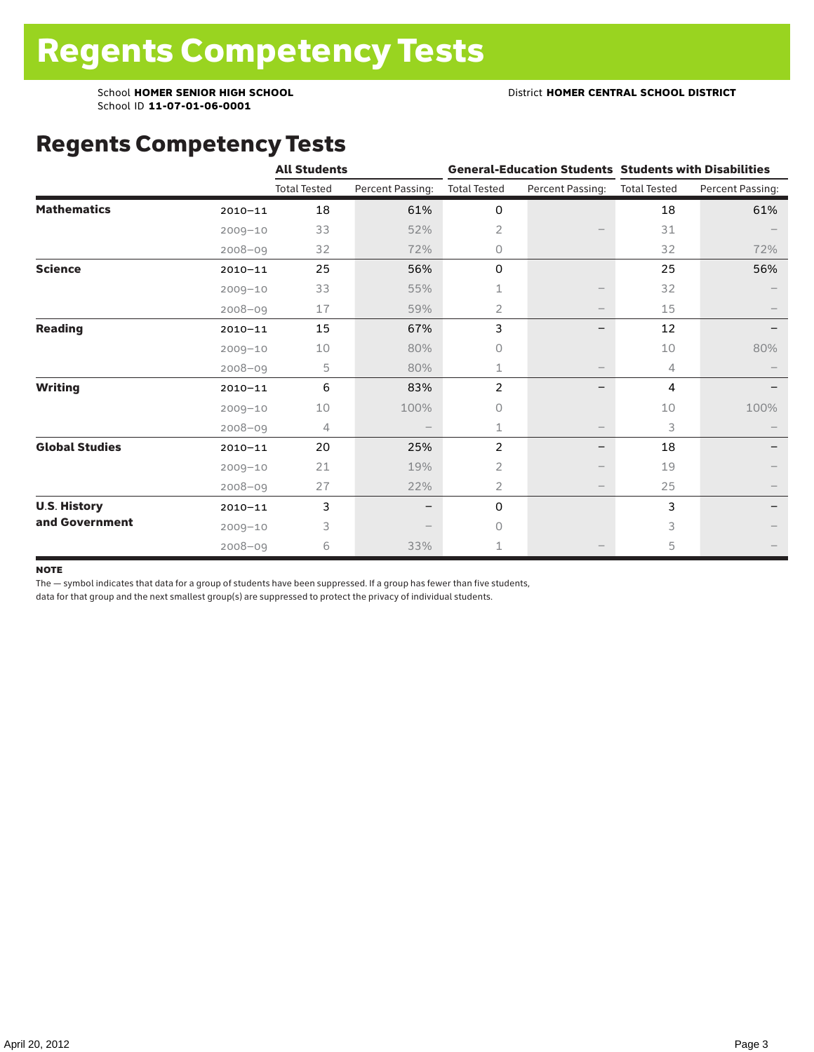School ID **11-07-01-06-0001**

### Regents Competency Tests

|                       |             | <b>All Students</b> |                  |                     |                               | <b>General-Education Students Students with Disabilities</b> |                  |  |
|-----------------------|-------------|---------------------|------------------|---------------------|-------------------------------|--------------------------------------------------------------|------------------|--|
|                       |             | <b>Total Tested</b> | Percent Passing: | <b>Total Tested</b> | Percent Passing: Total Tested |                                                              | Percent Passing: |  |
| <b>Mathematics</b>    | $2010 - 11$ | 18                  | 61%              | 0                   |                               | 18                                                           | 61%              |  |
|                       | $2009 - 10$ | 33                  | 52%              | $\overline{2}$      |                               | 31                                                           |                  |  |
|                       | $2008 - 09$ | 32                  | 72%              | $\circ$             |                               | 32                                                           | 72%              |  |
| <b>Science</b>        | $2010 - 11$ | 25                  | 56%              | 0                   |                               | 25                                                           | 56%              |  |
|                       | $2009 - 10$ | 33                  | 55%              | 1                   |                               | 32                                                           |                  |  |
|                       | 2008-09     | 17                  | 59%              | 2                   |                               | 15                                                           |                  |  |
| <b>Reading</b>        | $2010 - 11$ | 15                  | 67%              | 3                   |                               | 12                                                           |                  |  |
|                       | $2009 - 10$ | 10                  | 80%              | $\circ$             |                               | 10                                                           | 80%              |  |
|                       | $2008 - 09$ | 5                   | 80%              | 1                   |                               | 4                                                            |                  |  |
| <b>Writing</b>        | $2010 - 11$ | 6                   | 83%              | 2                   |                               | 4                                                            |                  |  |
|                       | $2009 - 10$ | 10                  | 100%             | $\Omega$            |                               | 10                                                           | 100%             |  |
|                       | $2008 - 09$ | 4                   |                  | 1                   |                               | 3                                                            |                  |  |
| <b>Global Studies</b> | $2010 - 11$ | 20                  | 25%              | 2                   | —                             | 18                                                           |                  |  |
|                       | $2009 - 10$ | 21                  | 19%              | 2                   |                               | 19                                                           |                  |  |
|                       | $2008 - 09$ | 27                  | 22%              | 2                   | $\overline{\phantom{m}}$      | 25                                                           |                  |  |
| <b>U.S. History</b>   | $2010 - 11$ | 3                   |                  | 0                   |                               | 3                                                            |                  |  |
| and Government        | $2009 - 10$ | 3                   |                  | $\Omega$            |                               | 3                                                            |                  |  |
|                       | $2008 - 09$ | 6                   | 33%              | 1                   |                               | 5                                                            |                  |  |

#### **NOTE**

The — symbol indicates that data for a group of students have been suppressed. If a group has fewer than five students,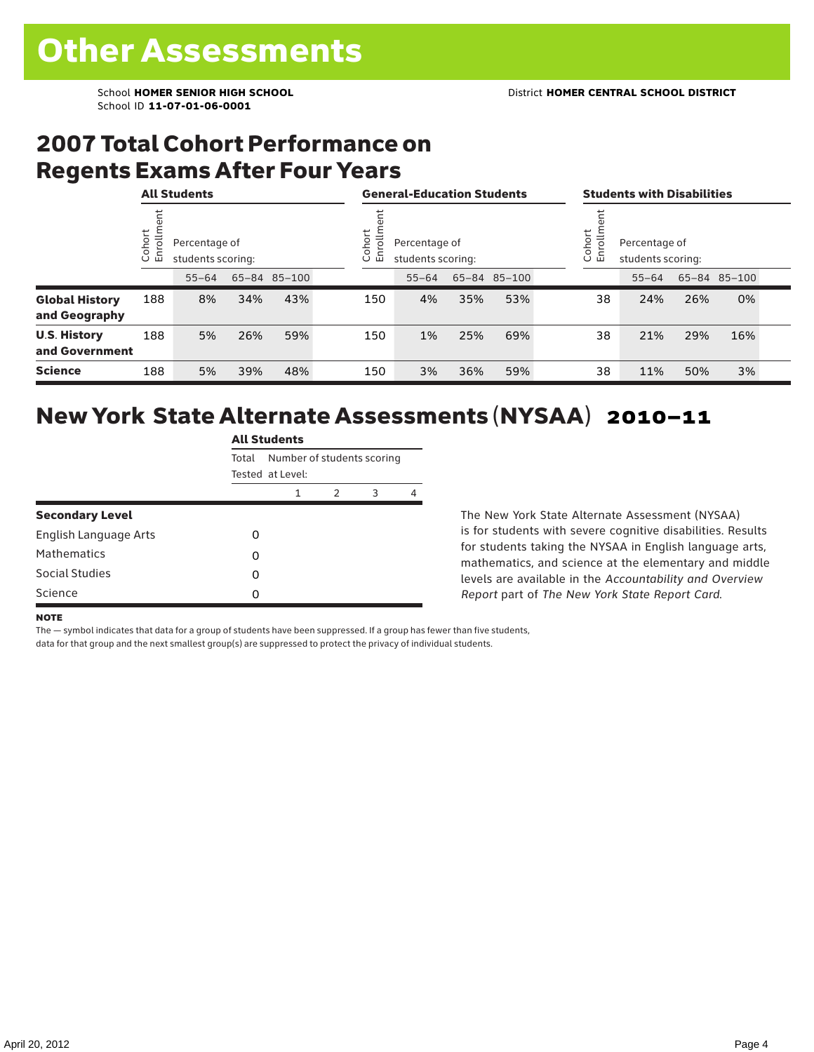## 2007 Total Cohort Performance on Regents Exams After Four Years

|                                        | <b>All Students</b> |                                    |     |              |       | <b>General-Education Students</b>            |     |              |  | <b>Students with Disabilities</b>                                            |           |     |              |  |
|----------------------------------------|---------------------|------------------------------------|-----|--------------|-------|----------------------------------------------|-----|--------------|--|------------------------------------------------------------------------------|-----------|-----|--------------|--|
|                                        | ohort<br>o<br>ごこ    | Percentage of<br>students scoring: |     |              | ohort | ē<br>Percentage of<br>亩<br>students scoring: |     |              |  | ohort<br>$\overline{5}$<br>Percentage of<br>문<br>students scoring:<br>$\cup$ |           |     |              |  |
|                                        |                     | $55 - 64$                          |     | 65-84 85-100 |       | $55 - 64$                                    |     | 65-84 85-100 |  |                                                                              | $55 - 64$ |     | 65-84 85-100 |  |
| <b>Global History</b><br>and Geography | 188                 | 8%                                 | 34% | 43%          | 150   | 4%                                           | 35% | 53%          |  | 38                                                                           | 24%       | 26% | 0%           |  |
| <b>U.S. History</b><br>and Government  | 188                 | 5%                                 | 26% | 59%          | 150   | 1%                                           | 25% | 69%          |  | 38                                                                           | 21%       | 29% | 16%          |  |
| <b>Science</b>                         | 188                 | 5%                                 | 39% | 48%          | 150   | 3%                                           | 36% | 59%          |  | 38                                                                           | 11%       | 50% | 3%           |  |

# New York State Alternate Assessments (NYSAA) 2010–11

|                              | <b>All Students</b> |                            |   |   |   |  |  |  |  |
|------------------------------|---------------------|----------------------------|---|---|---|--|--|--|--|
|                              | Total               | Number of students scoring |   |   |   |  |  |  |  |
|                              |                     | Tested at Level:           |   |   |   |  |  |  |  |
|                              |                     | 1                          | 2 | 3 | 4 |  |  |  |  |
| <b>Secondary Level</b>       |                     |                            |   |   |   |  |  |  |  |
| <b>English Language Arts</b> | ი                   |                            |   |   |   |  |  |  |  |
| <b>Mathematics</b>           | 0                   |                            |   |   |   |  |  |  |  |
| Social Studies               | 0                   |                            |   |   |   |  |  |  |  |
| Science                      | 0                   |                            |   |   |   |  |  |  |  |

The New York State Alternate Assessment (NYSAA) is for students with severe cognitive disabilities. Results for students taking the NYSAA in English language arts, mathematics, and science at the elementary and middle levels are available in the *Accountability and Overview Report* part of *The New York State Report Card*.

#### **NOTE**

The — symbol indicates that data for a group of students have been suppressed. If a group has fewer than five students,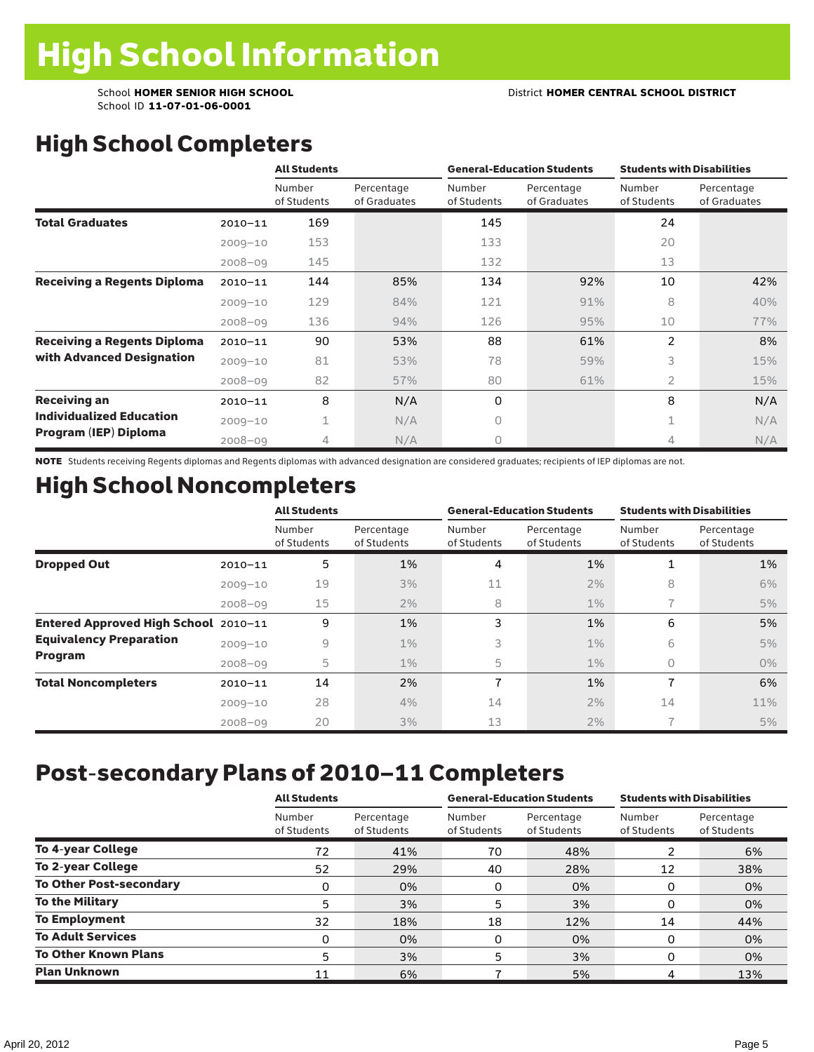School ID **11-07-01-06-0001**

# High School Completers

|                                    |             | <b>All Students</b>   |                            |                       | <b>General-Education Students</b> | <b>Students with Disabilities</b> |                            |  |
|------------------------------------|-------------|-----------------------|----------------------------|-----------------------|-----------------------------------|-----------------------------------|----------------------------|--|
|                                    |             | Number<br>of Students | Percentage<br>of Graduates | Number<br>of Students | Percentage<br>of Graduates        | Number<br>of Students             | Percentage<br>of Graduates |  |
| <b>Total Graduates</b>             | $2010 - 11$ | 169                   |                            | 145                   |                                   | 24                                |                            |  |
|                                    | $2009 - 10$ | 153                   |                            | 133                   |                                   | 20                                |                            |  |
|                                    | $2008 - 09$ | 145                   |                            | 132                   |                                   | 13                                |                            |  |
| <b>Receiving a Regents Diploma</b> | $2010 - 11$ | 144                   | 85%                        | 134                   | 92%                               | 10                                | 42%                        |  |
|                                    | $2009 - 10$ | 129                   | 84%                        | 121                   | 91%                               | 8                                 | 40%                        |  |
|                                    | $2008 - 09$ | 136                   | 94%                        | 126                   | 95%                               | 10                                | 77%                        |  |
| <b>Receiving a Regents Diploma</b> | $2010 - 11$ | 90                    | 53%                        | 88                    | 61%                               | $\overline{2}$                    | 8%                         |  |
| with Advanced Designation          | $2009 - 10$ | 81                    | 53%                        | 78                    | 59%                               | 3                                 | 15%                        |  |
|                                    | $2008 - 09$ | 82                    | 57%                        | 80                    | 61%                               | $\overline{2}$                    | 15%                        |  |
| <b>Receiving an</b>                | $2010 - 11$ | 8                     | N/A                        | 0                     |                                   | 8                                 | N/A                        |  |
| <b>Individualized Education</b>    | $2009 - 10$ | $\mathbf 1$           | N/A                        | 0                     |                                   | $\mathbf 1$                       | N/A                        |  |
| Program (IEP) Diploma              | $2008 - 09$ | 4                     | N/A                        | 0                     |                                   | 4                                 | N/A                        |  |

NOTE Students receiving Regents diplomas and Regents diplomas with advanced designation are considered graduates; recipients of IEP diplomas are not.

## High School Noncompleters

|                                      |             | <b>All Students</b>   |                           |                       | <b>General-Education Students</b> | <b>Students with Disabilities</b> |                           |  |
|--------------------------------------|-------------|-----------------------|---------------------------|-----------------------|-----------------------------------|-----------------------------------|---------------------------|--|
|                                      |             | Number<br>of Students | Percentage<br>of Students | Number<br>of Students | Percentage<br>of Students         | Number<br>of Students             | Percentage<br>of Students |  |
| <b>Dropped Out</b>                   | $2010 - 11$ | 5                     | 1%                        | 4                     | 1%                                |                                   | 1%                        |  |
|                                      | $2009 - 10$ | 19                    | 3%                        | 11                    | 2%                                | 8                                 | 6%                        |  |
|                                      | $2008 - 09$ | 15                    | 2%                        | 8                     | $1\%$                             |                                   | 5%                        |  |
| Entered Approved High School 2010-11 |             | 9                     | 1%                        | 3                     | 1%                                | 6                                 | 5%                        |  |
| <b>Equivalency Preparation</b>       | $2009 - 10$ | 9                     | $1\%$                     | 3                     | $1\%$                             | 6                                 | 5%                        |  |
| Program                              | $2008 - 09$ | 5                     | $1\%$                     | 5                     | $1\%$                             | 0                                 | $0\%$                     |  |
| <b>Total Noncompleters</b>           | $2010 - 11$ | 14                    | 2%                        | 7                     | 1%                                | 7                                 | 6%                        |  |
|                                      | $2009 - 10$ | 28                    | 4%                        | 14                    | 2%                                | 14                                | 11%                       |  |
|                                      | $2008 - 09$ | 20                    | 3%                        | 13                    | 2%                                |                                   | 5%                        |  |

# Post-secondary Plans of 2010–11 Completers

|                                | <b>All Students</b>   |                           |                       | <b>General-Education Students</b> | <b>Students with Disabilities</b> |                           |  |
|--------------------------------|-----------------------|---------------------------|-----------------------|-----------------------------------|-----------------------------------|---------------------------|--|
|                                | Number<br>of Students | Percentage<br>of Students | Number<br>of Students | Percentage<br>of Students         | Number<br>of Students             | Percentage<br>of Students |  |
| <b>To 4-year College</b>       | 72                    | 41%                       | 70                    | 48%                               | ົ                                 | 6%                        |  |
| <b>To 2-year College</b>       | 52                    | 29%                       | 40                    | 28%                               | 12                                | 38%                       |  |
| <b>To Other Post-secondary</b> | 0                     | 0%                        | 0                     | 0%                                | 0                                 | 0%                        |  |
| <b>To the Military</b>         | 5                     | 3%                        | 5                     | 3%                                | O                                 | 0%                        |  |
| <b>To Employment</b>           | 32                    | 18%                       | 18                    | 12%                               | 14                                | 44%                       |  |
| <b>To Adult Services</b>       | 0                     | 0%                        | 0                     | 0%                                | 0                                 | 0%                        |  |
| <b>To Other Known Plans</b>    | 5                     | 3%                        | 5                     | 3%                                | 0                                 | 0%                        |  |
| <b>Plan Unknown</b>            | 11                    | 6%                        |                       | 5%                                |                                   | 13%                       |  |